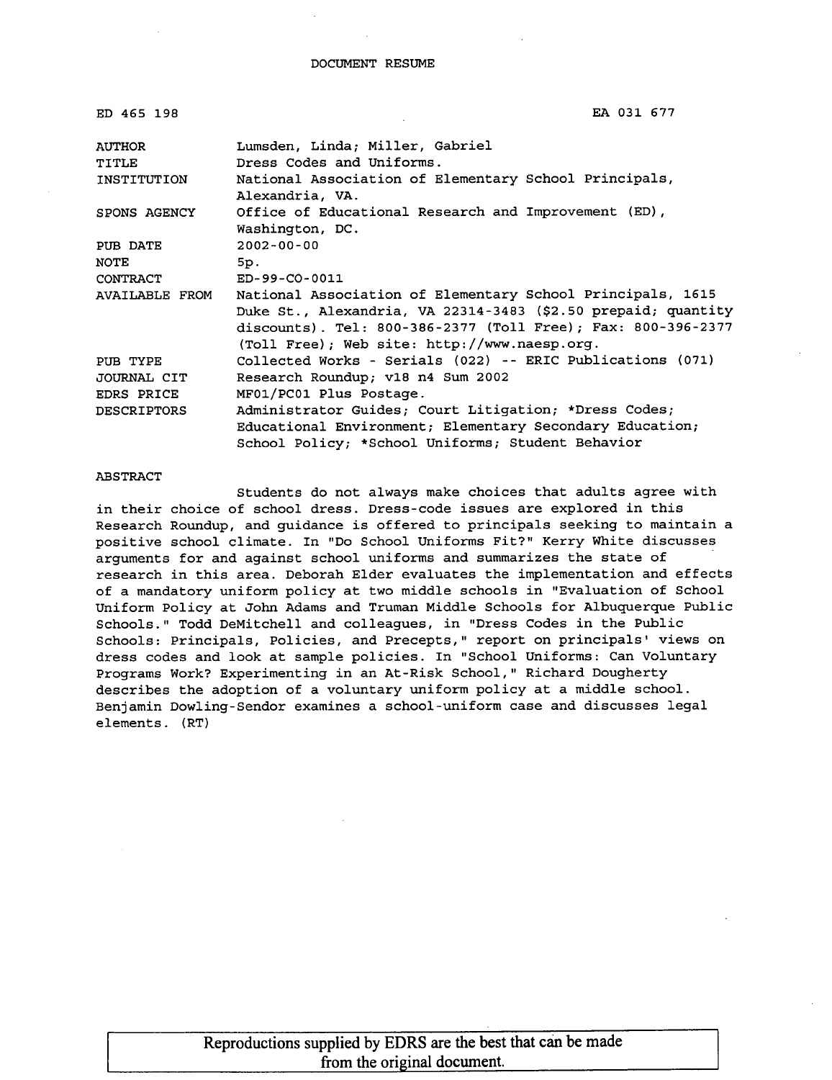| ED 465 198             | EA 031 677                                                                                                                                                                                                                                  |
|------------------------|---------------------------------------------------------------------------------------------------------------------------------------------------------------------------------------------------------------------------------------------|
| AUTHOR<br><b>TITLE</b> | Lumsden, Linda; Miller, Gabriel<br>Dress Codes and Uniforms.                                                                                                                                                                                |
| INSTITUTION            | National Association of Elementary School Principals,<br>Alexandria, VA.                                                                                                                                                                    |
| SPONS AGENCY           | Office of Educational Research and Improvement (ED),<br>Washington, DC.                                                                                                                                                                     |
| PUB DATE<br>NOTE       | $2002 - 00 - 00$<br>5p.                                                                                                                                                                                                                     |
| CONTRACT               | ED-99-CO-0011                                                                                                                                                                                                                               |
| AVAILABLE FROM         | National Association of Elementary School Principals, 1615<br>Duke St., Alexandria, VA 22314-3483 (\$2.50 prepaid; quantity<br>discounts). Tel: 800-386-2377 (Toll Free); Fax: 800-396-2377<br>(Toll Free); Web site: http://www.naesp.org. |
| PUB TYPE               | Collected Works - Serials (022) -- ERIC Publications (071)                                                                                                                                                                                  |
| JOURNAL CIT            | Research Roundup; v18 n4 Sum 2002                                                                                                                                                                                                           |
| <b>EDRS PRICE</b>      | MF01/PC01 Plus Postage.                                                                                                                                                                                                                     |
| <b>DESCRIPTORS</b>     | Administrator Guides; Court Litigation; *Dress Codes;<br>Educational Environment; Elementary Secondary Education;<br>School Policy; *School Uniforms; Student Behavior                                                                      |

EA 031 677

#### ABSTRACT

Students do not always make choices that adults agree with in their choice of school dress. Dress-code issues are explored in this Research Roundup, and guidance is offered to principals seeking to maintain a positive school climate. In "DO School Uniforms Fit?" Kerry White discusses arguments for and against school uniforms and summarizes the state of research in this area. Deborah Elder evaluates the implementation and effects of a mandatory uniform policy at two middle schools in "Evaluation of School Uniform Policy at John Adams and Truman Middle Schools for Albuquerque Public Schools." Todd DeMitchell and colleagues, in "Dress Codes in the Public Schools: Principals, Policies, and Precepts," report on principals' views on dress codes and look at sample policies. In "School Uniforms: Can Voluntary Programs Work? Experimenting in an At-Risk School," Richard Dougherty describes the adoption of a voluntary uniform policy at a middle school. Benjamin Dowling-Sendor examines a school-uniform case and discusses legal elements. (RT)

| Reproductions supplied by EDRS are the best that can be made |  |
|--------------------------------------------------------------|--|
| from the original document.                                  |  |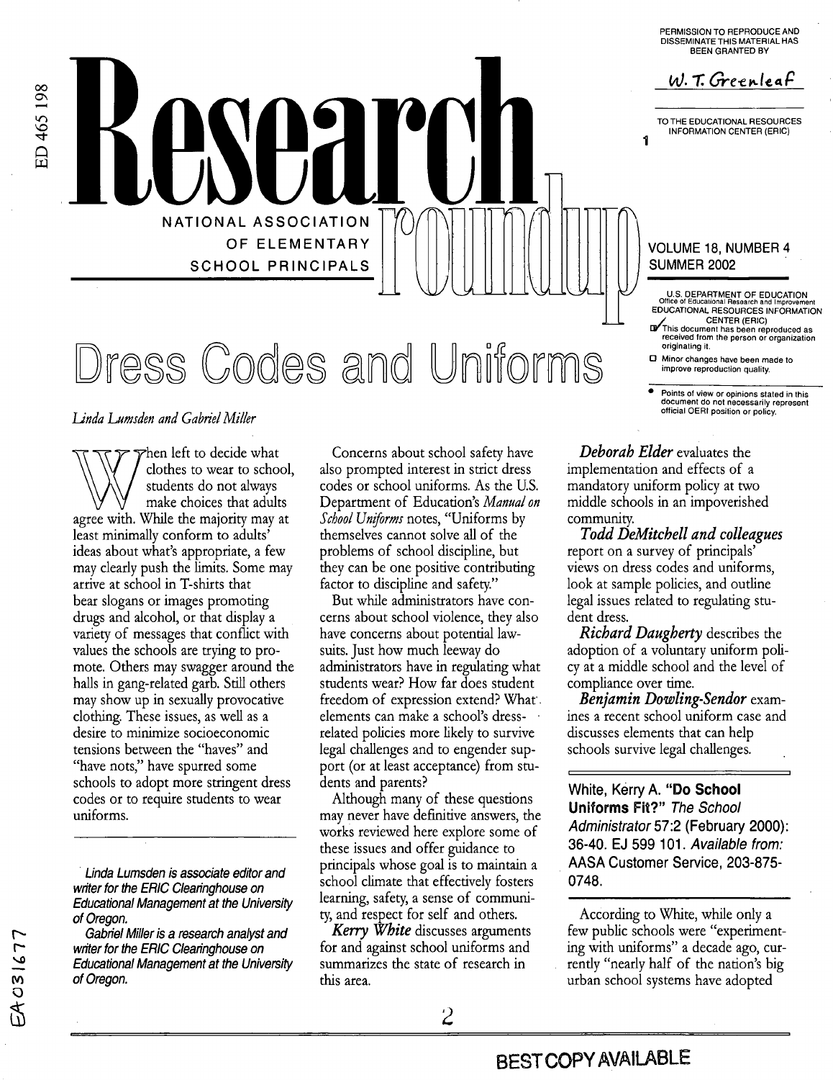**PERMISSION TO REPRODUCE AND DISSEMINATE THIS MATERIAL HAS BEEN GRANTED BY** 

W.T. Greenleaf

TO **THE EDUCATIONAL RESOURCES INFORMATION CENTER (ERIC)** 

**4** 

## VOLUME 18, NUMBER **4**  SUMMER 2002

- **US DEPARTMENT OF EDUCATION Offlce of Educational Research and Improvement EDUCATIONAL RESOURCES INFORMATION**
- **CENTER (ERIC) Ahis document has been reproduced as received from the person or organization originating it**
- *0* **Minor changes have been made to**

**POintS of view or opinions stated in this document do not necessarily represent official OERI position or policy** 

### *Linda Lumsden and Gabriel Miller*

**NATIONAL ASSOCIATION** 

**SCHOOL PRINCIPALS** 

OF **ELEMENTARY** 

**Dress Codes and Uniforms** 

hen left to decide what clothes to wear to school, students do not always make choices that adults agree with. While the majority may at least minimally conform to adults' ideas about what's appropriate, a few may clearly push the limits. Some may arrive at school in T-shirts that bear slogans or images promoting drugs and alcohol, or that display a variety of messages that conflict with values the schools are trying to promote. Others may swagger around the halls in gang-related garb. Still others may show up in sexually provocative clothing. These issues, as well as a desire to minimize socioeconomic tensions between the "haves" and "have nots," have spurred some schools to adopt more stringent dress codes or to require students to wear uniforms.

*Linda Lumsden is associate editor and writer for the ERIC Clearinghouse on Educational Management at the University of Oregon.* 

*Gabriel Miller is a research analyst and writer for the ERIC Clearinghouse on Educational Management at the University of Oregon.* 

EA031677

Concerns about school safety have also prompted interest in strict dress codes or school uniforms. As the U.S. Department of Education's *Manual on School Uniforms* notes, "Uniforms by themselves cannot solve all of the problems of school discipline, but they can be one positive contributing factor to discipline and safety."

But while administrators have concerns about school violence, they also have concerns about potential lawsuits. Just how much leeway do administrators have in regulating what students wear? How far does student freedom of expression extend? What. elements can make a school's dress- . related policies more likely to survive legal challenges and to engender support (or at least acceptance) from students and parents?

Although many of these questions may never have definitive answers, the works reviewed here explore some of these issues and offer guidance to principals whose goal is to maintain a school climate that effectively fosters learning, safety, a sense of community, and respect for self and others.

*Kerry W%ite* discusses arguments for and against school uniforms and summarizes the state of research in this area.

*Deborah Elder* evaluates the implementation and effects of a mandatory uniform policy at two middle schools in an impoverished community.

report on a survey of principals' views on dress codes and uniforms, look at sample policies, and outline legal issues related to regulating student dress. *Todd DeMitcbell and colleagues* 

*Richard Daugberty* describes the adoption of a voluntary uniform policy at a middle school and the level of compliance over time.

*Benjamin Dowling-Sendor* examines a recent school uniform case and discusses elements that can help schools survive legal challenges.

I

**White, Kerry A. ''Do School Uniforms Fit?"** *The School Administrator* **57:2 (February 2000): 36-40. EJ 599 101.** *Available from:*  **AASA Customer Service, 203-875- 0748.** 

According to White, while only a few public schools were "experimenting with uniforms" a decade ago, currently "nearly half of the nation's big urban school systems have adopted

**BEST COPY AVAILABLE**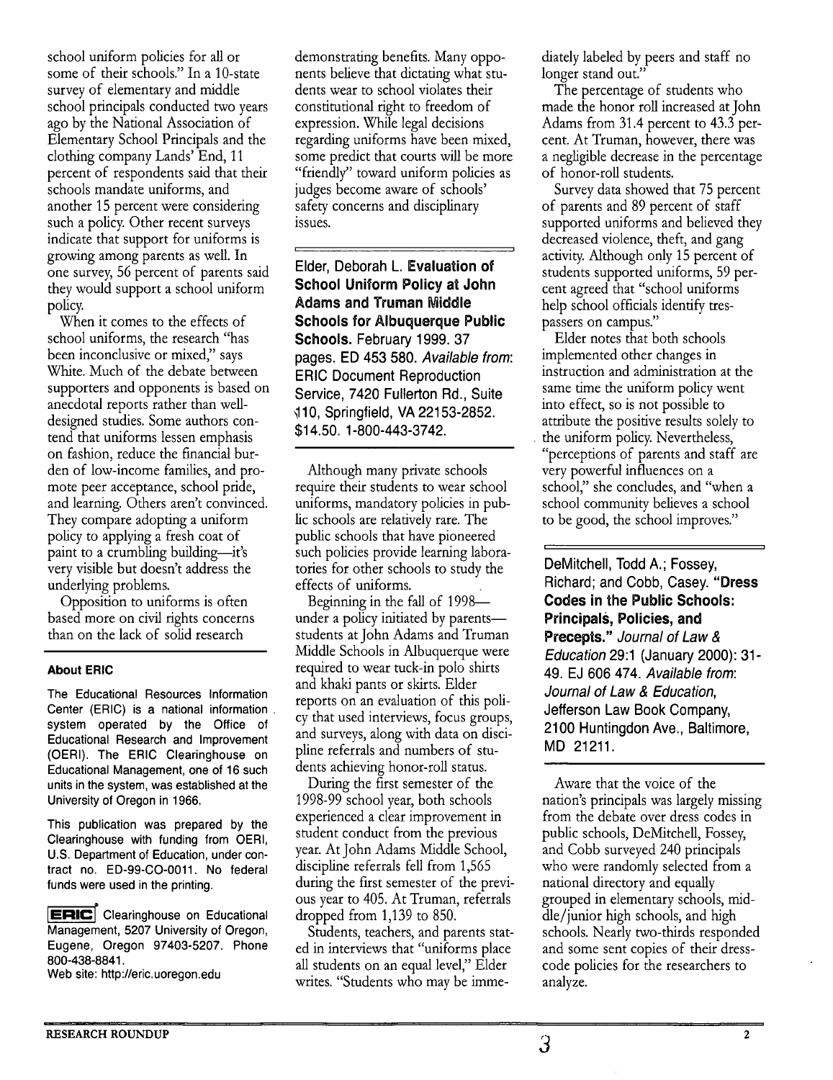school uniform policies for **all** or some of their schools." In a 10-state survey of elementary and middle school principals conducted two years ago by the National Association of Elementary School Principals and the clothing company Lands' End, 11 percent of respondents said that their schools mandate uniforms, and another 15 percent were considering such a policy. Other recent surveys indicate that support for uniforms is growing among parents as well. In one survey, 56 percent of parents said they would support a school uniform policy.

When it comes to the effects of school uniforms, the research "has been inconclusive or mixed," says White. Much of the debate between supporters and opponents is based on anecdotal reports rather than welldesigned studies. Some authors contend that uniforms lessen emphasis on fashion, reduce the financial burden of low-income families, and promote peer acceptance, school pride, and learning. Others aren't convinced. They compare adopting a uniform policy to applying a fresh coat of paint to a crumbling building-it's very visible but doesn't address the underlying problems.

Opposition to uniforms is often based more on civil rights concerns than on the lack of solid research

### **About ERIC**

The Educational Resources Information Center (ERIC) is a national information system operated by the Office of Educational Research and Improvement (OERI). The ERIC Clearinghouse on Educational Management, one of 16 such units in the system, was established at the University of Oregon in 1966.

This publication was prepared by the Clearinghouse with funding from OERI, U.S. Department of Education, under contract no. ED-99-CO-0011. No federal funds were used in the printing.

ERIC Clearinghouse on Educational Management, 5207 University of Oregon, Eugene, Oregon 97403-5207. Phone 800-438-8841.

Web site: http://eric.uoregon.edu

demonstrating benefits. Many opponents believe that dictating what students wear to school violates their constitutional right to freedom of expression. While legal decisions regarding uniforms have been mixed, some predict that courts will be more "friendly" toward uniform policies as judges become aware of schools' safety concerns and disciplinary issues.

Elder, Deborah **L. Evaluation of School Uniform Policy at John Adams and Truman Middle Schools for Albuquerque Public Schools.** February **1999. 37**  pages. ED **453 580.** *Available from:*  ERIC Document Reproduction Service, **7420** Fullerton Rd., Suite **4 10,** Springfield, **VA 221 53-2852. \$1 4.50. 1-800-443-3742.** 

1 **1** 

Although many private schools require their students to wear school uniforms, mandatory policies in public schools are relatively rare. The public schools that have pioneered such policies provide learning laboratories for other schools to study the effects of uniforms.

Beginning in the fall of 1998under a policy initiated by parents students at John Adams and Truman Middle Schools in Albuquerque were required to wear tuck-in polo shirts and khaki pants or skirts. Elder reports on an evaluation of this policy that used interviews, focus groups, and surveys, along with data on discipline referrals and numbers of students achieving honor-roll status.

During the first semester of the 1998-99 school year, both schools experienced a clear improvement in student conduct from the previous year. At John Adams Middle School, disciphe referrals fell from 1,565 during the first semester of the previous year to 405. At Truman, referrals dropped from 1,139 to 850.

Students, teachers, and parents stated in interviews that "uniforms place all students on an equal level," Elder writes. "Students who may be immediately labeled by peers and staff no longer stand out.'

The percentage of students who made the honor roll increased at John Adams from 31.4 percent to 43.3 percent. At Truman, however, there was a negligible decrease in the percentage of honor-roll students.

Survey data showed that 75 percent of parents and 89 percent of staff supported uniforms and believed they decreased violence, theft, and gang activity. Although only 15 percent of students supported uniforms, 59 percent agreed that "school uniforms help school officials identify trespassers on campus."

Elder notes that both schools implemented other changes in instruction and administration at the same time the uniform policy went into effect, so is not possible to attribute the positive results solely to the uniform policy. Nevertheless, "perceptions of parents and staff are very powerful influences on a school," she concludes, and "when a school community believes a school to be good, the school improves."

DeMitchell, Todd A.; Fossey, Richard; and Cobb, Casey. **"Dress Codes in the Public Schools: Principals, Policies, and Precepts."** *Journal of Law* & *Education* **29:l** (January **2000): 31- 49.** EJ **606 474.** *Available from: Journal of Law* & *Education,*  Jefferson Law Book Company, **2100** Huntingdon Ave., Baltimore, MD **21211.** 

**r I** 

Aware that the voice of the nation's principals was largely missing from the debate over dress codes in public schools, DeMitchell, Fossey, and Cobb surveyed 240 principals who were randomly selected from a national directory and equally grouped in elementary schools, middle/junior high schools, and high schools. Nearly two-thirds responded and some sent copies of their dresscode policies for the researchers to analyze.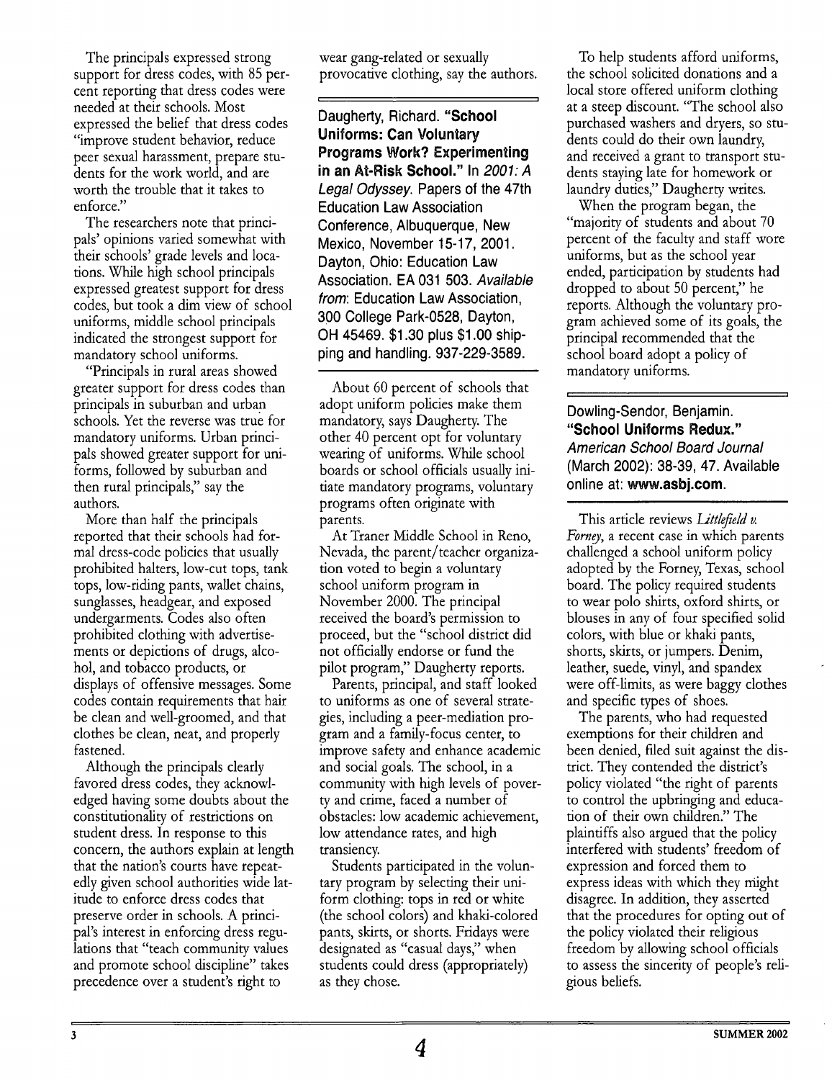The principals expressed strong support for dress codes, with 85 percent reporting that dress codes were needed at their schools. Most expressed the belief that dress codes "improve student behavior, reduce peer sexual harassment, prepare students for the work world, and are worth the trouble that it takes to enforce."

The researchers note that principals' opinions varied somewhat with their schools' grade levels and locations. While high school principals expressed greatest support for dress codes, but took a dim view of school uniforms, middle school principals indicated the strongest support for mandatory school uniforms.

"Principals in rural areas showed greater support for dress codes than principals in suburban and urban schools. Yet the reverse was true for mandatory uniforms. Urban principals showed greater support for uniforms, followed by suburban and then rural principals," say the authors.

More than half the principals reported that their schools had formal dress-code policies that usually prohibited halters, low-cut tops, tank tops, low-riding pants, wallet chains, sunglasses, headgear, and exposed undergarments. Codes also often prohibited clothing with advertisements or depictions of drugs, alcohol, and tobacco products, or displays of offensive messages. Some codes contain requirements that hair be clean and well-groomed, and that clothes be clean, neat, and properly fastened.

Although the principals clearly favored dress codes, they acknowledged having some doubts about the constitutionality of restrictions on student dress. In response to this concern, the authors explain at length that the nation's courts have repeatedly given school authorities wide latitude to enforce dress codes that preserve order in schools. A principal's interest in enforcing dress regulations that "teach community values and promote school discipline" takes precedence over a student's right to

wear gang-related or sexually provocative clothing, say the authors.

Daugherty, Richard. **"School Uniforms: Can Voluntary Programs Work? Experimenting in an At-Risk School."** In **2007:** *A Legal Odyssey.* Papers of the 47th Education Law Association Conference, Albuquerque, New Mexico, November 15-17, 2001. Dayton, Ohio: Education Law Association. EA 031 503. *Available from:* Education Law Association, 300 College Park-0528, Dayton, OH 45469. \$1.30 plus \$1 .OO shipping and handling. 937-229-3589.

About 60 percent of schools that adopt uniform policies make them mandatory, says Daugherty. The other 40 percent opt for voluntary wearing of uniforms. While school boards or school officials usually initiate mandatory programs, voluntary programs often originate with parents.

At Traner Middle School in Reno, Nevada, the parent/teacher organization voted to begin a voluntary school uniform program in November 2000. The principal received the board's permission to proceed, but the "school district did not officially endorse or fund the pilot program," Daugherty reports.

Parents, principal, and staff looked to uniforms as one of several strategies, including a peer-mediation program and a family-focus center, to improve safety and enhance academic and social goals. The school, in a community with high levels of poverty and crime, faced a number of obstacles: low academic achevement, low attendance rates, and high transiency.

tary program by selecting their uniform clothing: tops in red or white (the school colors) and khaki-colored pants, skirts, or shorts. Fridays were designated as "casual days," when students could dress (appropriately) as they chose. Students participated in the volun-

To help students afford uniforms, the school solicited donations and a local store offered uniform clothing at a steep discount. "The school also purchased washers and dryers, so students could do their own laundry, and received a grant to transport students staying late for homework or laundry duties," Daugherty writes.

When the program began, the "majority of students and about 70 percent of the faculty and staff wore uniforms, but as the school year ended, participation by students had dropped to about 50 percent," he reports. Although the voluntary program achieved some of its goals, the principal recommended that the school board adopt a policy of mandatory uniforms.

Dowling-Sendor, Benjamin. **"School Uniforms Redlux."**  *American School Board Journal*  (March 2002): 38-39, 47. Available online at: **www.asbj.com.** 

*1 I* 

This article reviews *Littlefield v*. Forney, a recent case in which parents challenged a school uniform policy adopted by the Forney, Texas, school board. The policy required students to wear polo shirts, oxford shirts, or blouses in any of four specified solid colors, with blue or khaki pants, shorts, skirts, or jumpers. Denim, leather, suede, vinyl, and spandex were off-limits, as were baggy clothes and specific types of shoes.

The parents, who had requested exemptions for their children and been denied, filed suit against the district. They contended the district's policy violated "the right of parents to control the upbringing and education of their own children." The plaintiffs also argued that the policy interfered with students' freedom of expression and forced them to express ideas with which they might disagree. In addition, they asserted that the procedures for opting out of the policy violated their religous freedom by allowing school officials to assess the sincerity of people's religious beliefs.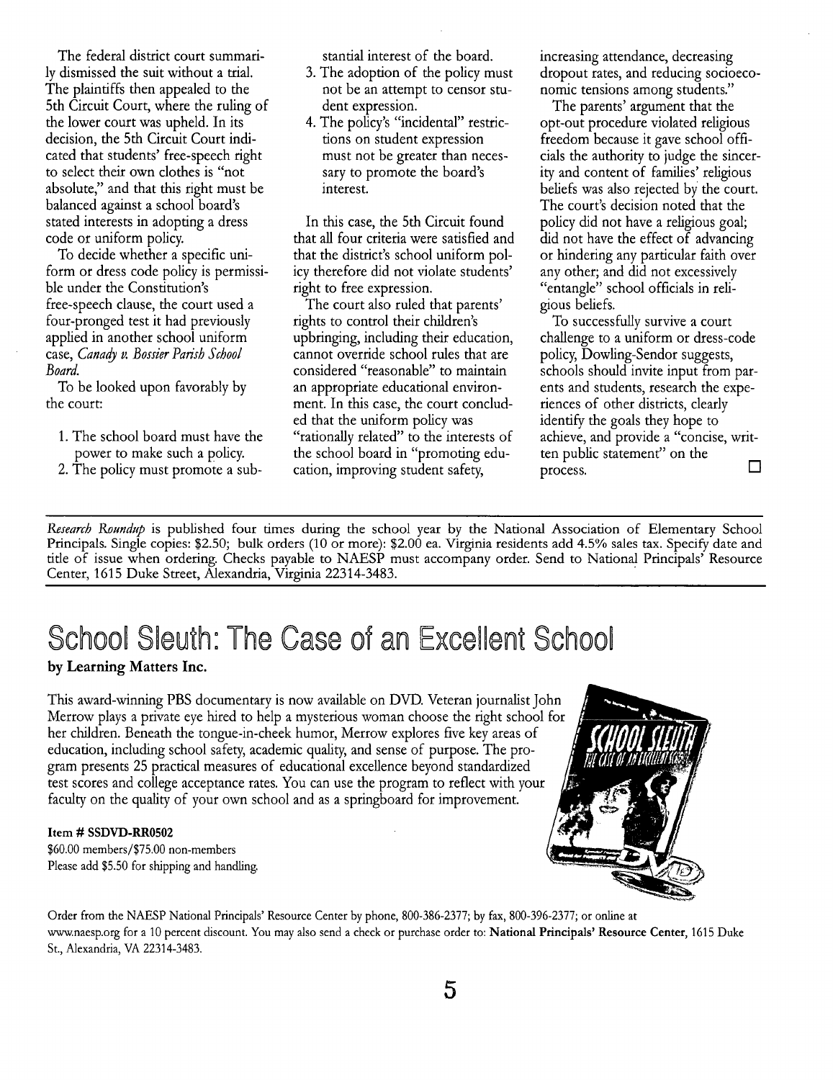The federal district court summarily dlsmissed the suit without a trial. The plaintiffs then appealed to the 5th Circuit Court, where the ruling of the lower court was upheld. In its decision, the 5th Circuit Court indicated that students' free-speech right to select their own clothes is "not absolute," and that this right must be balanced against a school board's stated interests in adopting a dress code or uniform policy.

To decide whether a specific uniform or dress code policy is permissible under the Constitution's free-speech clause, the court used a four-pronged test it had previously applied in another school uniform **case, Canady v. Bossier Parish School** *Board.* 

To be looked upon favorably by the court:

- 1. The school board must have the power to make such a policy.
- 2. The policy must promote a sub-

stantial interest of the board.

- *3.* The adoption of the policy must not be an attempt to censor student expression.
- **4.** The policy's "incidental" restrictions on student expression must not be greater than necessary to promote the board's interest.

In this case, the 5th Circuit found that all four criteria were satisfied and that the district's school uniform policy therefore did not violate students' right to free expression.

The court also ruled that parents' rights to control their children's upbringing, including their education, cannot override school rules that are considered "reasonable" to maintain an appropriate educational environment. In this case, the court concluded that the uniform policy was "rationally related" to the interests of the school board in "promoting education, improving student safety,

increasing attendance, decreasing dropout rates, and reducing socioeconomic tensions among students."

The parents' argument that the opt-out procedure violated religious freedom because it gave school officials the authority to judge the sincerity and content of families' religious beliefs was also rejected by the court. The court's decision noted that the policy did not have a religious goal; did not have the effect of advancing or hmdering any particular faith over any other; and did not excessively "entangle" school officials in religious beliefs.

To successfully survive a court challenge to a uniform or dress-code policy, Dowling-Sendor suggests, schools should invite input from parents and students, research the experiences of other districts, clearly identify the goals they hope to achieve, and provide a "concise, written public statement" on the process. *0* 

*Research Roundup* is published four times during the school year by the National Association of Elementary School Principals. Single copies: \$2.50; bulk orders (10 or more): \$2.00 ea. Virginia residents add 4.5% sales tax. Specify date and title of issue when ordering. Checks payable to NAESP must accompany order. Send to National Principals' Resource Center, 1615 Duke Street, Alexandria, Virginia 22314-3483.

# School Sleuth: The Case of an Excellent School

by Learning Matters Inc.

This award-winning PBS documentary is now available on DVD. Veteran journalist John Merrow plays a private eye hired to help a mysterious woman choose the right school for her children. Beneath the tongue-in-cheek humor, Merrow explores five key areas of education, including school safety, academic quality, and sense of purpose. The program presents 25 practical measures of educational excellence beyond standardzed test scores and college acceptance rates. You can use the program to reflect with your faculty on the quality of your own school and as a springboard for improvement.

### Item # **SSDVD-RRO502**

\$60.00 members/\$75.00 non-members Please add \$5.50 for shipping and handling.



Order from the NAESP National Principals' Resource Center by phone, 800-386-2377; by **fax,** 800-396-2377; or online at www.naesp.org for a 10 percent discount. You may also send a check or purchase order to: National Principals' Resource Center, 1615 Duke St., Alexandria, VA 22314-3483.